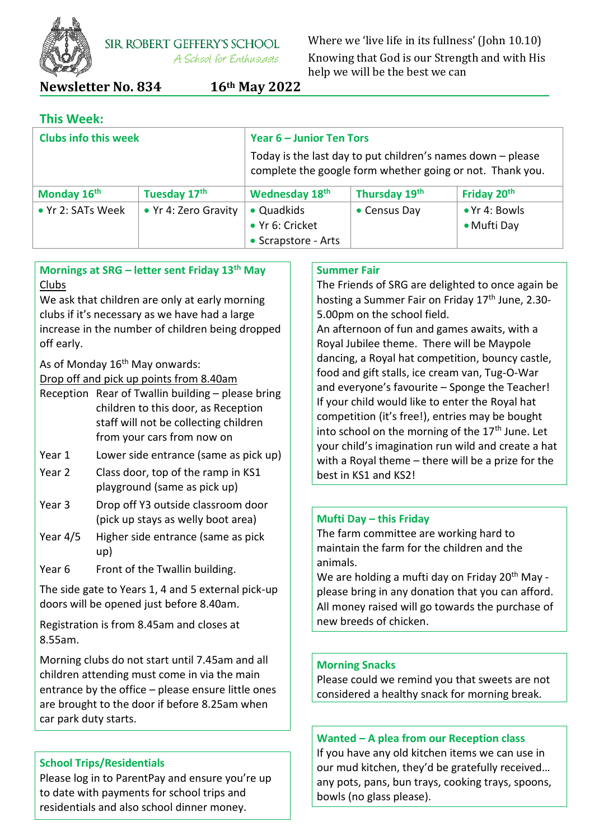

**SIR ROBERT GEFFERY'S SCHOOL** A School for Enthusiasts

Where we 'live life in its fullness' (John 10.10) Knowing that God is our Strength and with His help we will be the best we can

## **Newsletter No. 834 16th May 2022**

## **This Week:**

| <b>Clubs info this week</b> |                      | Year 6 - Junior Ten Tors                                                                                                   |                      |                                      |
|-----------------------------|----------------------|----------------------------------------------------------------------------------------------------------------------------|----------------------|--------------------------------------|
|                             |                      | Today is the last day to put children's names down $-$ please<br>complete the google form whether going or not. Thank you. |                      |                                      |
| Monday 16th                 | Tuesday 17th         | Wednesday 18th                                                                                                             | Thursday 19th        | Friday 20th                          |
| • Yr 2: SATs Week           | • Yr 4: Zero Gravity | • Quadkids<br>• Yr 6: Cricket<br>• Scrapstore - Arts                                                                       | $\bullet$ Census Day | $\bullet$ Yr 4: Bowls<br>• Mufti Day |

#### **Mornings at SRG – letter sent Friday 13th May** Clubs

We ask that children are only at early morning clubs if it's necessary as we have had a large increase in the number of children being dropped off early.

As of Monday  $16<sup>th</sup>$  May onwards:

Drop off and pick up points from 8.40am

| Reception Rear of Twallin building - please bring |
|---------------------------------------------------|
| children to this door, as Reception               |
| staff will not be collecting children             |
| from your cars from now on                        |

- Year 1 Lower side entrance (same as pick up)
- Year 2 Class door, top of the ramp in KS1 playground (same as pick up)
- Year 3 Drop off Y3 outside classroom door (pick up stays as welly boot area)
- Year 4/5 Higher side entrance (same as pick up)
- Year 6 Front of the Twallin building.

The side gate to Years 1, 4 and 5 external pick-up doors will be opened just before 8.40am.

Registration is from 8.45am and closes at 8.55am.

Morning clubs do not start until 7.45am and all children attending must come in via the main entrance by the office – please ensure little ones are brought to the door if before 8.25am when car park duty starts.

## **School Trips/Residentials**

Please log in to ParentPay and ensure you're up to date with payments for school trips and residentials and also school dinner money.

## **Summer Fair**

The Friends of SRG are delighted to once again be hosting a Summer Fair on Friday 17<sup>th</sup> June, 2.30-5.00pm on the school field.

An afternoon of fun and games awaits, with a Royal Jubilee theme. There will be Maypole dancing, a Royal hat competition, bouncy castle, food and gift stalls, ice cream van, Tug-O-War and everyone's favourite – Sponge the Teacher! If your child would like to enter the Royal hat competition (it's free!), entries may be bought into school on the morning of the  $17<sup>th</sup>$  June. Let your child's imagination run wild and create a hat with a Royal theme – there will be a prize for the best in KS1 and KS2!

#### **Mufti Day – this Friday**

The farm committee are working hard to maintain the farm for the children and the animals.

We are holding a mufti day on Friday 20<sup>th</sup> May please bring in any donation that you can afford. All money raised will go towards the purchase of new breeds of chicken.

#### **Morning Snacks**

Please could we remind you that sweets are not considered a healthy snack for morning break.

## **Wanted – A plea from our Reception class**

If you have any old kitchen items we can use in our mud kitchen, they'd be gratefully received… any pots, pans, bun trays, cooking trays, spoons, bowls (no glass please).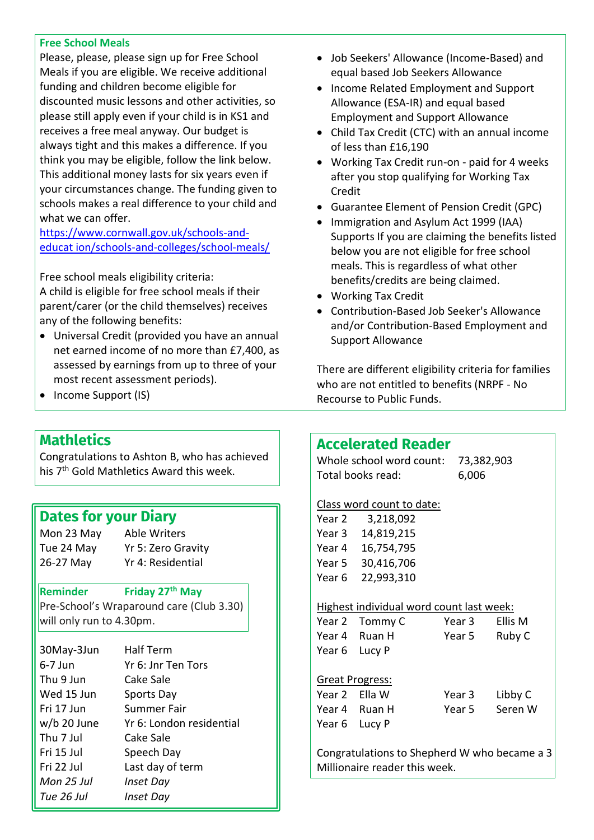#### **Free School Meals**

Please, please, please sign up for Free School Meals if you are eligible. We receive additional funding and children become eligible for discounted music lessons and other activities, so please still apply even if your child is in KS1 and receives a free meal anyway. Our budget is always tight and this makes a difference. If you think you may be eligible, follow the link below. This additional money lasts for six years even if your circumstances change. The funding given to schools makes a real difference to your child and what we can offer.

[https://www.cornwall.gov.uk/schools-and](https://www.cornwall.gov.uk/schools-and-educat%20ion/schools-and-colleges/school-meals/)[educat ion/schools-and-colleges/school-meals/](https://www.cornwall.gov.uk/schools-and-educat%20ion/schools-and-colleges/school-meals/)

Free school meals eligibility criteria: A child is eligible for free school meals if their parent/carer (or the child themselves) receives any of the following benefits:

- Universal Credit (provided you have an annual net earned income of no more than £7,400, as assessed by earnings from up to three of your most recent assessment periods).
- Income Support (IS)
- Job Seekers' Allowance (Income-Based) and equal based Job Seekers Allowance
- Income Related Employment and Support Allowance (ESA-IR) and equal based Employment and Support Allowance
- Child Tax Credit (CTC) with an annual income of less than £16,190
- Working Tax Credit run-on paid for 4 weeks after you stop qualifying for Working Tax Credit
- Guarantee Element of Pension Credit (GPC)
- Immigration and Asylum Act 1999 (IAA) Supports If you are claiming the benefits listed below you are not eligible for free school meals. This is regardless of what other benefits/credits are being claimed.
- Working Tax Credit
- Contribution-Based Job Seeker's Allowance and/or Contribution-Based Employment and Support Allowance

There are different eligibility criteria for families who are not entitled to benefits (NRPF - No Recourse to Public Funds.

## **Mathletics**

Congratulations to Ashton B, who has achieved his 7th Gold Mathletics Award this week.

## **Dates for your Diary**

Mon 23 May Able Writers 26-27 May Yr 4: Residential

Tue 24 May Yr 5: Zero Gravity

**Reminder Friday 27th May**

Pre-School's Wraparound care (Club 3.30) will only run to 4.30pm.

| 30May-3Jun  | <b>Half Term</b>         |
|-------------|--------------------------|
| $6-7$ Jun   | Yr 6: Jnr Ten Tors       |
| Thu 9 Jun   | Cake Sale                |
| Wed 15 Jun  | Sports Day               |
| Fri 17 Jun  | Summer Fair              |
| w/b 20 June | Yr 6: London residential |
| Thu 7 Jul   | Cake Sale                |
| Fri 15 Jul  | Speech Day               |
| Fri 22 Jul  | Last day of term         |
| Mon 25 Jul  | Inset Day                |
| Tue 26 Jul  | Inset Day                |

## **Accelerated Reader**

Whole school word count: 73,382,903 Total books read: 6,006

## Class word count to date:

| Year 2            | 3,218,092  |
|-------------------|------------|
| Year <sub>3</sub> | 14,819,215 |
| Year 4            | 16,754,795 |
| Year 5            | 30,416,706 |
| Year <sub>6</sub> | 22,993,310 |

## Highest individual word count last week:

| Year 2 Tommy C | Year 3 | Ellis M |
|----------------|--------|---------|
| Year 4 Ruan H  | Year 5 | Ruby C  |
| Year 6 Lucy P  |        |         |
|                |        |         |

Great Progress: Year 2 Ella W Year 3 Libby C Year 4 Ruan H Year 5 Seren W Year 6 Lucy P

Congratulations to Shepherd W who became a 3 Millionaire reader this week.